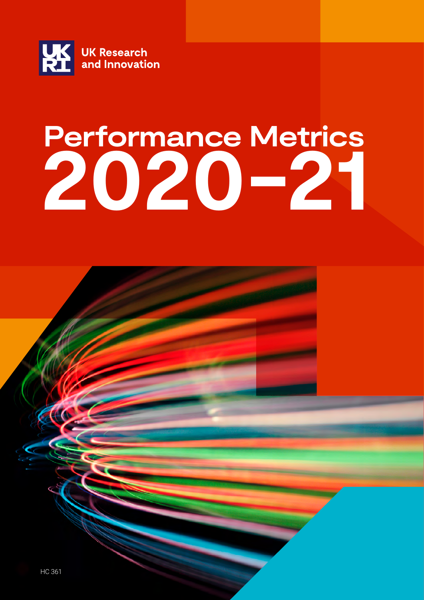

# **2020-21 Performance Metrics**

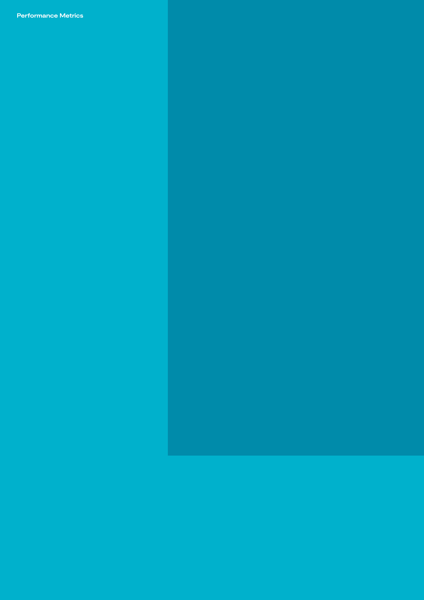**Performance Metrics**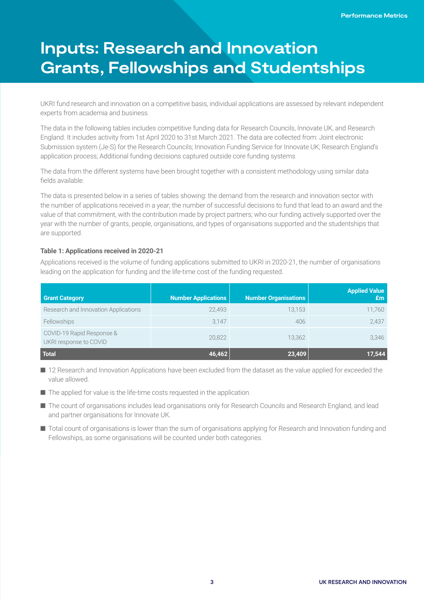# **Inputs: Research and Innovation Grants, Fellowships and Studentships**

UKRI fund research and innovation on a competitive basis, individual applications are assessed by relevant independent experts from academia and business.

The data in the following tables includes competitive funding data for Research Councils, Innovate UK, and Research England. It includes activity from 1st April 2020 to 31st March 2021. The data are collected from: Joint electronic Submission system (Je-S) for the Research Councils; Innovation Funding Service for Innovate UK; Research England's application process; Additional funding decisions captured outside core funding systems

The data from the different systems have been brought together with a consistent methodology using similar data fields available.

The data is presented below in a series of tables showing: the demand from the research and innovation sector with the number of applications received in a year; the number of successful decisions to fund that lead to an award and the value of that commitment, with the contribution made by project partners; who our funding actively supported over the year with the number of grants, people, organisations, and types of organisations supported and the studentships that are supported.

### **Table 1: Applications received in 2020-21**

Applications received is the volume of funding applications submitted to UKRI in 2020-21, the number of organisations leading on the application for funding and the life-time cost of the funding requested.

| <b>Grant Category</b>                               | <b>Number Applications</b> | <b>Number Organisations</b> | <b>Applied Value</b><br>Em |
|-----------------------------------------------------|----------------------------|-----------------------------|----------------------------|
| Research and Innovation Applications                | 22,493                     | 13,153                      | 11,760                     |
| <b>Fellowships</b>                                  | 3.147                      | 406                         | 2,437                      |
| COVID-19 Rapid Response &<br>UKRI response to COVID | 20,822                     | 13.362                      | 3,346                      |
| Total                                               | 46,462                     | 23,409                      | 17,544                     |

■ 12 Research and Innovation Applications have been excluded from the dataset as the value applied for exceeded the value allowed.

■ The applied for value is the life-time costs requested in the application.

- The count of organisations includes lead organisations only for Research Councils and Research England, and lead and partner organisations for Innovate UK.
- Total count of organisations is lower than the sum of organisations applying for Research and Innovation funding and Fellowships, as some organisations will be counted under both categories.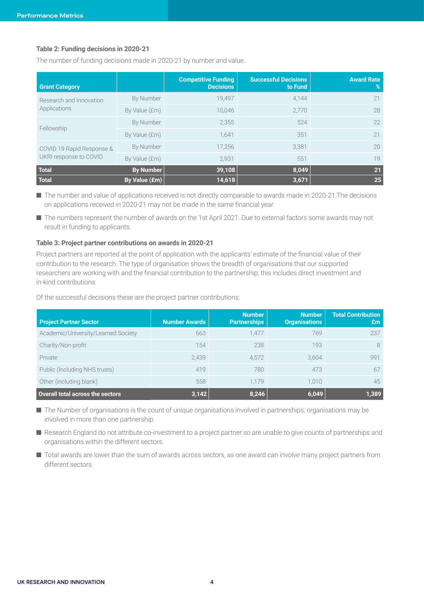#### **Table 2: Funding decisions in 2020-21**

The number of funding decisions made in 2020-21 by number and value.

| <b>Grant Category</b>     |                  | <b>Competitive Funding</b><br><b>Decisions</b> | <b>Successful Decisions</b><br>to Fund | <b>Award Rate</b><br>% |
|---------------------------|------------------|------------------------------------------------|----------------------------------------|------------------------|
| Research and Innovation   | By Number        | 19,497                                         | 4.144                                  | 21                     |
| Applications              | By Value (£m)    | 10.046                                         | 2,770                                  | 28                     |
|                           | By Number        | 2,355                                          | 524                                    | 22                     |
| Fellowship                | By Value (£m)    | 1,641                                          | 351                                    | 21                     |
| COVID 19 Rapid Response & | By Number        | 17.256                                         | 3,381                                  | 20                     |
| UKRI response to COVID    | By Value (£m)    | 2,931                                          | 551                                    | 19                     |
| Total                     | <b>By Number</b> | 39,108                                         | 8,049                                  | 21                     |
| Total                     | By Value (£m)    | 14,618                                         | 3,671                                  | 25                     |

■ The number and value of applications received is not directly comparable to awards made in 2020-21. The decisions on applications received in 2020-21 may not be made in the same financial year

■ The numbers represent the number of awards on the 1st April 2021. Due to external factors some awards may not result in funding to applicants.

#### **Table 3: Project partner contributions on awards in 2020-21**

Project partners are reported at the point of application with the applicants' estimate of the financial value of their contribution to the research. The type of organisation shows the breadth of organisations that our supported researchers are working with and the financial contribution to the partnership; this includes direct investment and in-kind contributions.

Of the successful decisions these are the project partner contributions:

| <b>Project Partner Sector</b>       | <b>Number Awards</b> | <b>Number</b><br><b>Partnerships</b> | <b>Number</b><br><b>Organisations</b> | <b>Total Contribution</b><br>Em |
|-------------------------------------|----------------------|--------------------------------------|---------------------------------------|---------------------------------|
| Academic/University/Learned Society | 663                  | 1,477                                | 769                                   | 237                             |
| Charity/Non-profit                  | 154                  | 238                                  | 193                                   | 8                               |
| Private                             | 2,439                | 4,572                                | 3,604                                 | 991                             |
| Public (Including NHS trusts)       | 419                  | 780                                  | 473                                   | 67                              |
| Other (including blank)             | 558                  | 1.179                                | 1.010                                 | 45                              |
| Overall total across the sectors    | 3,142                | 8,246                                | 6,049                                 | 1,389                           |

■ The Number of organisations is the count of unique organisations involved in partnerships; organisations may be involved in more than one partnership.

■ Research England do not attribute co-investment to a project partner so are unable to give counts of partnerships and organisations within the different sectors.

■ Total awards are lower than the sum of awards across sectors, as one award can involve many project partners from different sectors.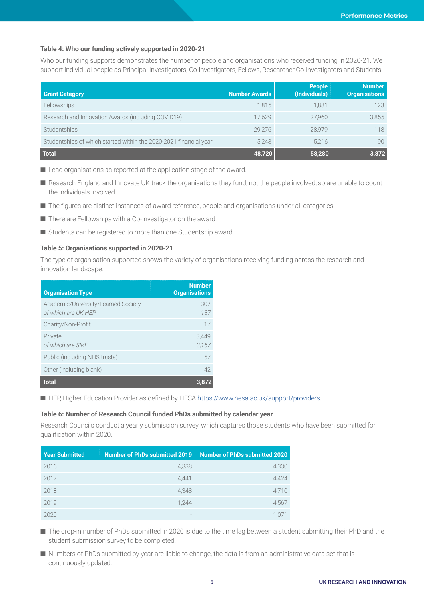#### **Table 4: Who our funding actively supported in 2020-21**

Who our funding supports demonstrates the number of people and organisations who received funding in 2020-21. We support individual people as Principal Investigators, Co-Investigators, Fellows, Researcher Co-Investigators and Students.

| <b>Grant Category</b>                                             | <b>Number Awards</b> | People<br>(Individuals) | <b>Number</b><br><b>Organisations</b> |
|-------------------------------------------------------------------|----------------------|-------------------------|---------------------------------------|
| <b>Fellowships</b>                                                | 1,815                | 1,881                   | 123                                   |
| Research and Innovation Awards (including COVID19)                | 17,629               | 27,960                  | 3,855                                 |
| <b>Studentships</b>                                               | 29.276               | 28.979                  | 118                                   |
| Studentships of which started within the 2020-2021 financial year | 5,243                | 5.216                   | 90                                    |
| <b>Total</b>                                                      | 48,720               | 58,280                  | 3,872                                 |

- Lead organisations as reported at the application stage of the award.
- Research England and Innovate UK track the organisations they fund, not the people involved, so are unable to count the individuals involved.
- The figures are distinct instances of award reference, people and organisations under all categories.
- There are Fellowships with a Co-Investigator on the award.
- Students can be registered to more than one Studentship award.

#### **Table 5: Organisations supported in 2020-21**

The type of organisation supported shows the variety of organisations receiving funding across the research and innovation landscape.

| <b>Organisation Type</b>                                   | <b>Number</b><br><b>Organisations</b> |
|------------------------------------------------------------|---------------------------------------|
| Academic/University/Learned Society<br>of which are UK HEP | 307<br>137                            |
| Charity/Non-Profit                                         | 17                                    |
| Private<br>of which are SME                                | 3,449<br>3,167                        |
| Public (including NHS trusts)                              | 57                                    |
| Other (including blank)                                    | 42                                    |
| Total                                                      |                                       |

■ HEP, Higher Education Provider as defined by HESA <https://www.hesa.ac.uk/support/providers>.

#### **Table 6: Number of Research Council funded PhDs submitted by calendar year**

Research Councils conduct a yearly submission survey, which captures those students who have been submitted for qualification within 2020.

| <b>Year Submitted</b> | <b>Number of PhDs submitted 2019</b> | <b>Number of PhDs submitted 2020</b> |
|-----------------------|--------------------------------------|--------------------------------------|
| 2016                  | 4,338                                | 4,330                                |
| 2017                  | 4.441                                | 4.424                                |
| 2018                  | 4.348                                | 4.710                                |
| 2019                  | 1.244                                | 4,567                                |
| 2020                  |                                      |                                      |

■ The drop-in number of PhDs submitted in 2020 is due to the time lag between a student submitting their PhD and the student submission survey to be completed.

■ Numbers of PhDs submitted by year are liable to change, the data is from an administrative data set that is continuously updated.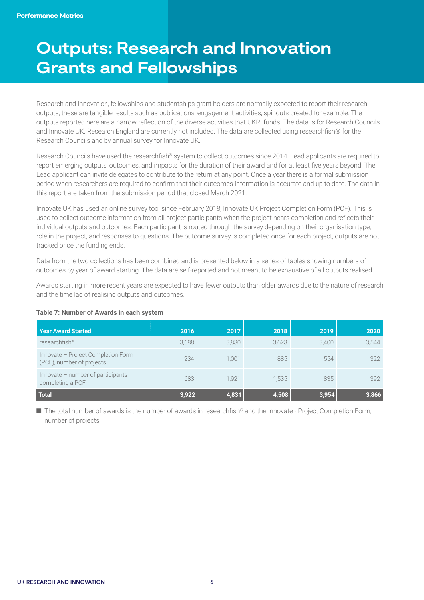# **Outputs: Research and Innovation Grants and Fellowships**

Research and Innovation, fellowships and studentships grant holders are normally expected to report their research outputs, these are tangible results such as publications, engagement activities, spinouts created for example. The outputs reported here are a narrow reflection of the diverse activities that UKRI funds. The data is for Research Councils and Innovate UK. Research England are currently not included. The data are collected using researchfish® for the Research Councils and by annual survey for Innovate UK.

Research Councils have used the researchfish® system to collect outcomes since 2014. Lead applicants are required to report emerging outputs, outcomes, and impacts for the duration of their award and for at least five years beyond. The Lead applicant can invite delegates to contribute to the return at any point. Once a year there is a formal submission period when researchers are required to confirm that their outcomes information is accurate and up to date. The data in this report are taken from the submission period that closed March 2021.

Innovate UK has used an online survey tool since February 2018, Innovate UK Project Completion Form (PCF). This is used to collect outcome information from all project participants when the project nears completion and reflects their individual outputs and outcomes. Each participant is routed through the survey depending on their organisation type, role in the project, and responses to questions. The outcome survey is completed once for each project, outputs are not tracked once the funding ends.

Data from the two collections has been combined and is presented below in a series of tables showing numbers of outcomes by year of award starting. The data are self-reported and not meant to be exhaustive of all outputs realised.

Awards starting in more recent years are expected to have fewer outputs than older awards due to the nature of research and the time lag of realising outputs and outcomes.

| <b>Year Award Started</b>                                       | 2016  | 2017  | 2018  | 2019  | 2020  |
|-----------------------------------------------------------------|-------|-------|-------|-------|-------|
| researchfish <sup>®</sup>                                       | 3,688 | 3,830 | 3,623 | 3.400 | 3,544 |
| Innovate - Project Completion Form<br>(PCF), number of projects | 234   | 1.001 | 885   | 554   | 322   |
| Innovate - number of participants<br>completing a PCF           | 683   | 1.921 | 1.535 | 835   | 392   |
| Total                                                           | 3,922 | 4,831 | 4,508 | 3,954 | 3,866 |

## **Table 7: Number of Awards in each system**

■ The total number of awards is the number of awards in researchfish<sup>®</sup> and the Innovate - Project Completion Form, number of projects.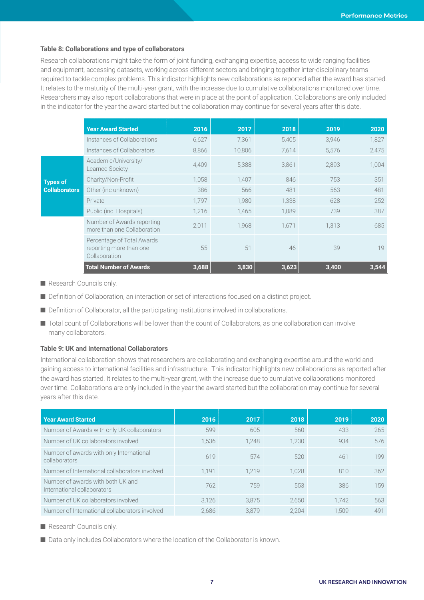#### **Table 8: Collaborations and type of collaborators**

Research collaborations might take the form of joint funding, exchanging expertise, access to wide ranging facilities and equipment, accessing datasets, working across different sectors and bringing together inter-disciplinary teams required to tackle complex problems. This indicator highlights new collaborations as reported after the award has started. It relates to the maturity of the multi-year grant, with the increase due to cumulative collaborations monitored over time. Researchers may also report collaborations that were in place at the point of application. Collaborations are only included in the indicator for the year the award started but the collaboration may continue for several years after this date.

|                      | <b>Year Award Started</b>                                              | 2016  | 2017   | 2018  | 2019  | 2020  |
|----------------------|------------------------------------------------------------------------|-------|--------|-------|-------|-------|
|                      | Instances of Collaborations                                            | 6,627 | 7,361  | 5,405 | 3,946 | 1,827 |
|                      | Instances of Collaborators                                             | 8,866 | 10,806 | 7,614 | 5,576 | 2,475 |
|                      | Academic/University/<br>Learned Society                                | 4,409 | 5,388  | 3,861 | 2,893 | 1,004 |
| <b>Types of</b>      | Charity/Non-Profit                                                     | 1.058 | 1,407  | 846   | 753   | 351   |
| <b>Collaborators</b> | Other (inc unknown)                                                    | 386   | 566    | 481   | 563   | 481   |
|                      | Private                                                                | 1,797 | 1,980  | 1,338 | 628   | 252   |
|                      | Public (inc. Hospitals)                                                | 1,216 | 1,465  | 1,089 | 739   | 387   |
|                      | Number of Awards reporting<br>more than one Collaboration              | 2,011 | 1,968  | 1,671 | 1,313 | 685   |
|                      | Percentage of Total Awards<br>reporting more than one<br>Collaboration | 55    | 51     | 46    | 39    | 19    |
|                      | <b>Total Number of Awards</b>                                          | 3,688 | 3,830  | 3,623 | 3,400 | 3,544 |

- Research Councils only.
- Definition of Collaboration, an interaction or set of interactions focused on a distinct project.
- Definition of Collaborator, all the participating institutions involved in collaborations.
- Total count of Collaborations will be lower than the count of Collaborators, as one collaboration can involve many collaborators.

#### **Table 9: UK and International Collaborators**

International collaboration shows that researchers are collaborating and exchanging expertise around the world and gaining access to international facilities and infrastructure. This indicator highlights new collaborations as reported after the award has started. It relates to the multi-year grant, with the increase due to cumulative collaborations monitored over time. Collaborations are only included in the year the award started but the collaboration may continue for several years after this date.

| <b>Year Award Started</b>                                        | 2016  | 2017  | 2018  | 2019  | 2020 |
|------------------------------------------------------------------|-------|-------|-------|-------|------|
| Number of Awards with only UK collaborators                      | 599   | 605   | 560   | 433   | 265  |
| Number of UK collaborators involved                              | 1,536 | 1,248 | 1.230 | 934   | 576  |
| Number of awards with only International<br>collaborators        | 619   | 574   | 520   | 461   | 199  |
| Number of International collaborators involved                   | 1.191 | 1.219 | 1.028 | 810   | 362  |
| Number of awards with both UK and<br>International collaborators | 762   | 759   | 553   | 386   | 159  |
| Number of UK collaborators involved                              | 3,126 | 3.875 | 2,650 | 1.742 | 563  |
| Number of International collaborators involved                   | 2.686 | 3.879 | 2.204 | 1.509 | 491  |

■ Research Councils only.

■ Data only includes Collaborators where the location of the Collaborator is known.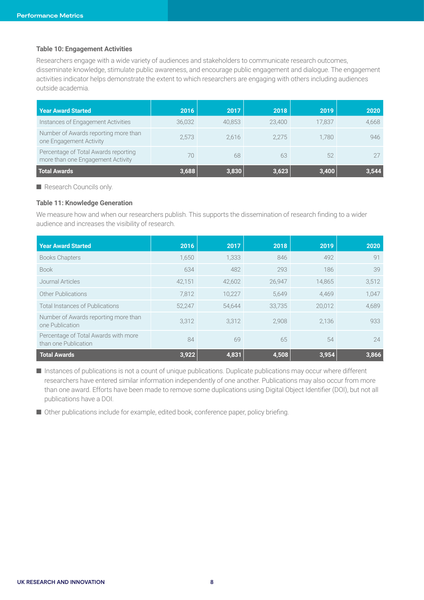#### **Table 10: Engagement Activities**

Researchers engage with a wide variety of audiences and stakeholders to communicate research outcomes, disseminate knowledge, stimulate public awareness, and encourage public engagement and dialogue. The engagement activities indicator helps demonstrate the extent to which researchers are engaging with others including audiences outside academia.

| <b>Year Award Started</b>                                                 | 2016   | 2017   | 2018   | 2019   | 2020  |
|---------------------------------------------------------------------------|--------|--------|--------|--------|-------|
| Instances of Engagement Activities                                        | 36,032 | 40.853 | 23,400 | 17.837 | 4,668 |
| Number of Awards reporting more than<br>one Engagement Activity           | 2.573  | 2.616  | 2.275  | 1.780  | 946   |
| Percentage of Total Awards reporting<br>more than one Engagement Activity | 70     | 68     | 63     | 52     |       |
| <b>Total Awards</b>                                                       | 3,688  | 3,830  | 3,623  | 3,400  | 3,544 |

■ Research Councils only.

#### **Table 11: Knowledge Generation**

We measure how and when our researchers publish. This supports the dissemination of research finding to a wider audience and increases the visibility of research.

| <b>Year Award Started</b>                                    | 2016   | 2017   | 2018   | 2019   | 2020  |
|--------------------------------------------------------------|--------|--------|--------|--------|-------|
| <b>Books Chapters</b>                                        | 1,650  | 1,333  | 846    | 492    | 91    |
| <b>Book</b>                                                  | 634    | 482    | 293    | 186    | 39    |
| Journal Articles                                             | 42,151 | 42,602 | 26,947 | 14,865 | 3,512 |
| <b>Other Publications</b>                                    | 7,812  | 10,227 | 5,649  | 4,469  | 1,047 |
| <b>Total Instances of Publications</b>                       | 52,247 | 54,644 | 33,735 | 20,012 | 4,689 |
| Number of Awards reporting more than<br>one Publication      | 3,312  | 3,312  | 2,908  | 2.136  | 933   |
| Percentage of Total Awards with more<br>than one Publication | 84     | 69     | 65     | 54     | 24    |
| <b>Total Awards</b>                                          | 3,922  | 4,831  | 4,508  | 3,954  | 3,866 |

■ Instances of publications is not a count of unique publications. Duplicate publications may occur where different researchers have entered similar information independently of one another. Publications may also occur from more than one award. Efforts have been made to remove some duplications using Digital Object Identifier (DOI), but not all publications have a DOI.

■ Other publications include for example, edited book, conference paper, policy briefing.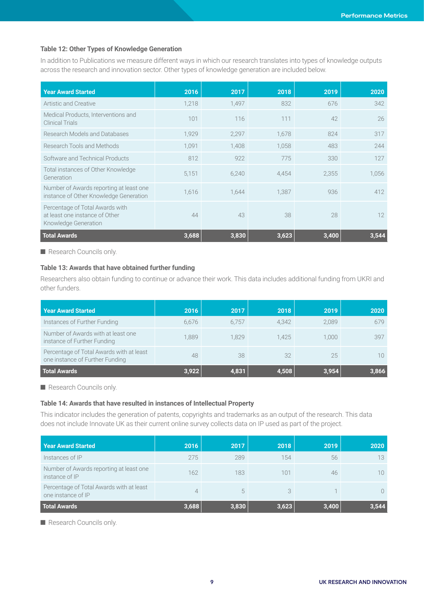### **Table 12: Other Types of Knowledge Generation**

In addition to Publications we measure different ways in which our research translates into types of knowledge outputs across the research and innovation sector. Other types of knowledge generation are included below.

| <b>Year Award Started</b>                                                                 | 2016  | 2017  | 2018  | 2019  | 2020  |
|-------------------------------------------------------------------------------------------|-------|-------|-------|-------|-------|
| <b>Artistic and Creative</b>                                                              | 1,218 | 1,497 | 832   | 676   | 342   |
| Medical Products, Interventions and<br><b>Clinical Trials</b>                             | 101   | 116   | 111   | 42    | 26    |
| Research Models and Databases                                                             | 1,929 | 2.297 | 1,678 | 824   | 317   |
| Research Tools and Methods                                                                | 1,091 | 1,408 | 1,058 | 483   | 244   |
| Software and Technical Products                                                           | 812   | 922   | 775   | 330   | 127   |
| Total instances of Other Knowledge<br>Generation                                          | 5,151 | 6,240 | 4,454 | 2,355 | 1,056 |
| Number of Awards reporting at least one<br>instance of Other Knowledge Generation         | 1,616 | 1,644 | 1,387 | 936   | 412   |
| Percentage of Total Awards with<br>at least one instance of Other<br>Knowledge Generation | 44    | 43    | 38    | 28    | 12    |
| <b>Total Awards</b>                                                                       | 3,688 | 3,830 | 3,623 | 3,400 | 3,544 |

■ Research Councils only.

#### **Table 13: Awards that have obtained further funding**

Researchers also obtain funding to continue or advance their work. This data includes additional funding from UKRI and other funders.

| <b>Year Award Started</b>                                                   | 2016  | 2017  | 2018  | 2019  | 2020  |
|-----------------------------------------------------------------------------|-------|-------|-------|-------|-------|
| Instances of Further Funding                                                | 6,676 | 6.757 | 4,342 | 2,089 | 679   |
| Number of Awards with at least one<br>instance of Further Funding           | 1.889 | 1.829 | 1.425 | 1.000 | 397   |
| Percentage of Total Awards with at least<br>one instance of Further Funding | 48    | 38    | 32    | 25    | 10    |
| Total Awards                                                                | 3,922 | 4,831 | 4,508 | 3,954 | 3,866 |

■ Research Councils only.

#### **Table 14: Awards that have resulted in instances of Intellectual Property**

This indicator includes the generation of patents, copyrights and trademarks as an output of the research. This data does not include Innovate UK as their current online survey collects data on IP used as part of the project.

| <b>Year Award Started</b>                                      | 2016  | 2017  | 2018  | 2019  | 2020  |
|----------------------------------------------------------------|-------|-------|-------|-------|-------|
| Instances of IP                                                | 275   | 289   | 154   | 56    | 13    |
| Number of Awards reporting at least one<br>instance of IP      | 162   | 183   | 101   | 46    | 10    |
| Percentage of Total Awards with at least<br>one instance of IP |       | 5     | 3     |       |       |
| Total Awards                                                   | 3,688 | 3,830 | 3,623 | 3,400 | 3,544 |

■ Research Councils only.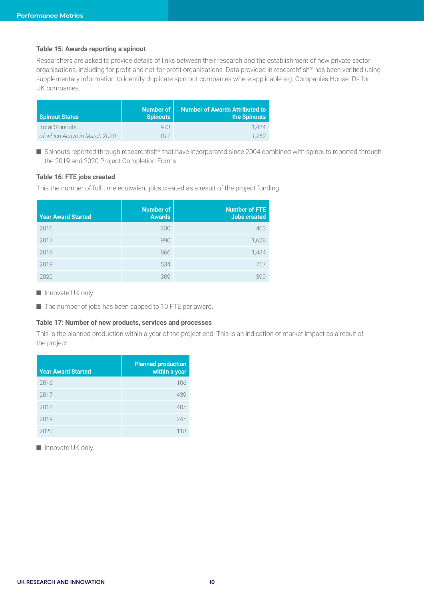#### **Table 15: Awards reporting a spinout**

Researchers are asked to provide details of links between their research and the establishment of new private sector organisations, including for profit and not-for-profit organisations. Data provided in researchfish® has been verified using supplementary information to identify duplicate spin-out companies where applicable e.g. Companies House IDs for UK companies.

| <b>Spinout Status</b>         | Number of<br><b>Spinouts</b> | <b>Number of Awards Attributed to</b><br>the Spinouts |
|-------------------------------|------------------------------|-------------------------------------------------------|
| <b>Total Spinouts</b>         | 973                          | 1.424                                                 |
| of which Active in March 2020 | 811                          | 1.262                                                 |

■ Spinouts reported through researchfish® that have incorporated since 2004 combined with spinouts reported through the 2019 and 2020 Project Completion Forms.

## **Table 16: FTE jobs created**

This the number of full-time equivalent jobs created as a result of the project funding.

| <b>Year Award Started</b> | <b>Number of</b><br><b>Awards</b> | <b>Number of FTE</b><br><b>Jobs created</b> |
|---------------------------|-----------------------------------|---------------------------------------------|
| 2016                      | 230                               | 463                                         |
| 2017                      | 990                               | 1,628                                       |
| 2018                      | 866                               | 1,434                                       |
| 2019                      | 534                               | 757                                         |
| 2020                      | 309                               | 399                                         |

■ Innovate UK only.

■ The number of jobs has been capped to 10 FTE per award.

#### **Table 17: Number of new products, services and processes**

This is the planned production within a year of the project end. This is an indication of market impact as a result of the project.

| <b>Year Award Started</b> | <b>Planned production</b><br>within a year |
|---------------------------|--------------------------------------------|
| 2016                      | 106                                        |
| 2017                      | 439                                        |
| 2018                      | 405                                        |
| 2019                      | 245                                        |
| 2020                      | 118                                        |

■ Innovate UK only.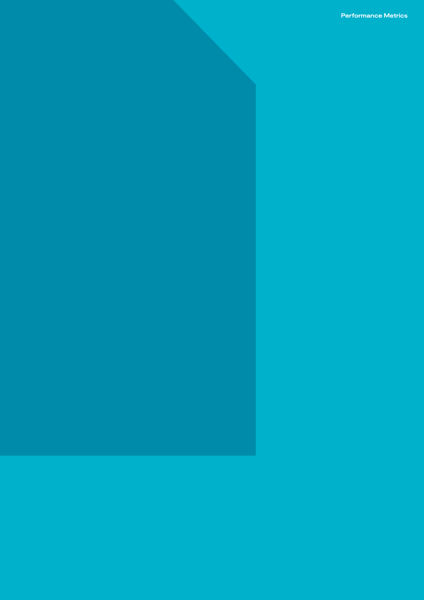**Performance Metrics**